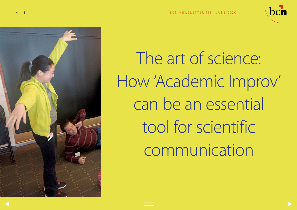



The art of science: How 'Academic Improv' can be an essential tool for scientific communication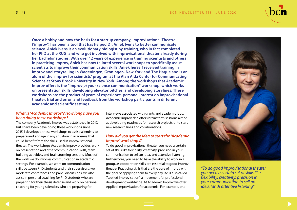## <span id="page-1-0"></span>5 | 48 B C N NEW SLETTER 118 | JUNE 2020



**Once a hobby and now the basis for a startup company, Improvisational Theatre ('improv') has been a tool that has helped Dr. Aniek Ivens to better communicate science. Aniek Ivens is an evolutionary biologist by training, who in fact completed her PhD at the RUG, and who got involved with improvisational theater already during her bachelor studies. With over 12 years of experience in training scientists and others in practicing improv, Aniek has now tailored several workshops to specifically assist scientists to improve their communication skills. Aniek herself received training in improv and storytelling in Wageningen, Groningen, New York and The Hague and is an alum of the 'improv for scientists' program at the Alan Alda Center for Communicating Science at Stony Brook University in New York. Among the workshops that Academic Improv offers is the "improv(e) your science communication" workshop, which works on presentation skills, developing elevator pitches, and developing storylines. These workshops are the product of years of experience, personal interest on improvisational theater, trial and error, and feedback from the workshop participants in different academic and scientific settings.** 

## *What is 'Academic Improv'? How long have you been doing these workshops?*

The company Academic Improv was established in 2017, but I have been developing these workshops since 2015. I developed these workshops to assist scientists to prepare and engage in any situation in academia that could benefit from the skills used in improvisational theater. The workshops Academic Improv provides, work on presentation and other communication skills, team building activities, and brainstorming sessions. Much of the work we do involves communication in academic settings. For example, we work on communication skills between PhD students and their supervisors, we moderate conferences and panel discussions, we also assist in personal coaching for PhD students who are preparing for their thesis defense and work on personal coaching for young scientists who are preparing for

interviews associated with grants and academic jobs. Academic Improv also offers brainstorm sessions aimed at developing roadmaps for research projects or to start new research lines and collaborations.

### *How did you get the idea to start the 'Academic Improv' workshops?*

To do good improvisational theater you need a certain set of skills like flexibility, creativity, precision in your communication to sell an idea, and attentive listening; furthermore, you need to have the ability to work in a group, as cooperation skills are essential to good improv theatre. Practicing skills that are the core of improv with the goal of applying them to every day life is also called 'Applied Improvisation', a movement for professional development worldwide. At Academic Improv we offer Applied Improvisation for academia. For example, one



*"To do good improvisational theater you need a certain set of skills like flexibility, creativity, precision in your communication to sell an idea, [and] attentive listening"*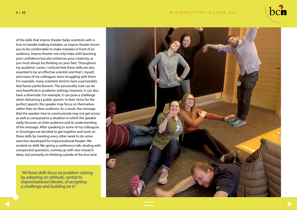### 6 | 48 B C N NEWSLETTER 118 | JUNE 2020



of the skills that improv theater helps scientists with is how to handle making mistakes, as improv theater forces you to be comfortable to make mistakes in front of an audience. Improv theater not only helps with boosting your confidence but also enhances your creativity, as you must always be thinking on your feet. Throughout my academic career, I noticed that these skills are also essential to be an effective scientist and that I, myself, and many of my colleagues were struggling with them. For example, many scientists tend to have a personality that favors perfectionism. This personality trait can be very beneficial in academic settings; however, it can also have a downside. For example, it can pose a challenge when delivering a public speech. In their strive for the perfect speech, the speaker may focus on themselves rather than on their audience. As a result, the message that the speaker tries to communicate may not get across as well as compared to a situation in which the speaker really focusses on their audience and its understanding of the message. After speaking to some of my colleagues in Groningen we decided to get together and work on these skills by meeting every other week to do some exercises developed for improvisational theater. We worked on skills like giving a conference talk, dealing with unexpected questions, coming up with new research ideas, but primarily on thinking outside of the box (and

*"All these skills focus on problem-solving by adopting an attitude, central to improvisational theater, of accepting a challenge and building on it."*